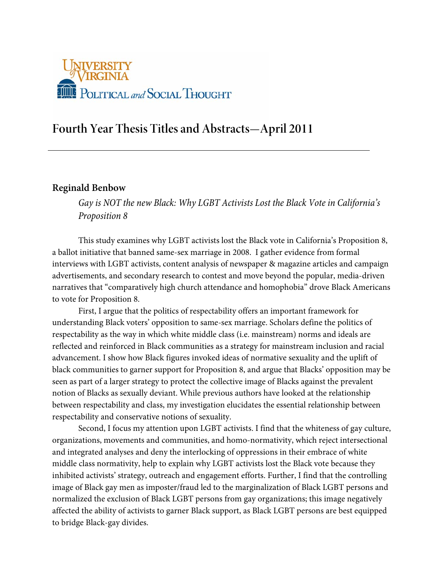

# **Fourth Year Thesis Titles and Abstracts—April 2011**

### **Reginald Benbow**

*Gay is NOT the new Black: Why LGBT Activists Lost the Black Vote in California's Proposition 8*

This study examines why LGBT activists lost the Black vote in California's Proposition 8, a ballot initiative that banned same-sex marriage in 2008. I gather evidence from formal interviews with LGBT activists, content analysis of newspaper & magazine articles and campaign advertisements, and secondary research to contest and move beyond the popular, media-driven narratives that "comparatively high church attendance and homophobia" drove Black Americans to vote for Proposition 8.

First, I argue that the politics of respectability offers an important framework for understanding Black voters' opposition to same-sex marriage. Scholars define the politics of respectability as the way in which white middle class (i.e. mainstream) norms and ideals are reflected and reinforced in Black communities as a strategy for mainstream inclusion and racial advancement. I show how Black figures invoked ideas of normative sexuality and the uplift of black communities to garner support for Proposition 8, and argue that Blacks' opposition may be seen as part of a larger strategy to protect the collective image of Blacks against the prevalent notion of Blacks as sexually deviant. While previous authors have looked at the relationship between respectability and class, my investigation elucidates the essential relationship between respectability and conservative notions of sexuality.

Second, I focus my attention upon LGBT activists. I find that the whiteness of gay culture, organizations, movements and communities, and homo-normativity, which reject intersectional and integrated analyses and deny the interlocking of oppressions in their embrace of white middle class normativity, help to explain why LGBT activists lost the Black vote because they inhibited activists' strategy, outreach and engagement efforts. Further, I find that the controlling image of Black gay men as imposter/fraud led to the marginalization of Black LGBT persons and normalized the exclusion of Black LGBT persons from gay organizations; this image negatively affected the ability of activists to garner Black support, as Black LGBT persons are best equipped to bridge Black-gay divides.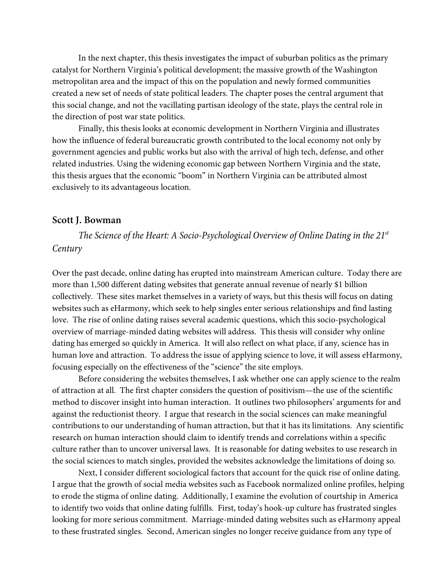In the next chapter, this thesis investigates the impact of suburban politics as the primary catalyst for Northern Virginia's political development; the massive growth of the Washington metropolitan area and the impact of this on the population and newly formed communities created a new set of needs of state political leaders. The chapter poses the central argument that this social change, and not the vacillating partisan ideology of the state, plays the central role in the direction of post war state politics.

Finally, this thesis looks at economic development in Northern Virginia and illustrates how the influence of federal bureaucratic growth contributed to the local economy not only by government agencies and public works but also with the arrival of high tech, defense, and other related industries. Using the widening economic gap between Northern Virginia and the state, this thesis argues that the economic "boom" in Northern Virginia can be attributed almost exclusively to its advantageous location.

#### **Scott J. Bowman**

*The Science of the Heart: A Socio-Psychological Overview of Online Dating in the 21st Century*

Over the past decade, online dating has erupted into mainstream American culture. Today there are more than 1,500 different dating websites that generate annual revenue of nearly \$1 billion collectively. These sites market themselves in a variety of ways, but this thesis will focus on dating websites such as eHarmony, which seek to help singles enter serious relationships and find lasting love. The rise of online dating raises several academic questions, which this socio-psychological overview of marriage-minded dating websites will address. This thesis will consider why online dating has emerged so quickly in America. It will also reflect on what place, if any, science has in human love and attraction. To address the issue of applying science to love, it will assess eHarmony, focusing especially on the effectiveness of the "science" the site employs.

Before considering the websites themselves, I ask whether one can apply science to the realm of attraction at all. The first chapter considers the question of positivism—the use of the scientific method to discover insight into human interaction. It outlines two philosophers' arguments for and against the reductionist theory. I argue that research in the social sciences can make meaningful contributions to our understanding of human attraction, but that it has its limitations. Any scientific research on human interaction should claim to identify trends and correlations within a specific culture rather than to uncover universal laws. It is reasonable for dating websites to use research in the social sciences to match singles, provided the websites acknowledge the limitations of doing so.

Next, I consider different sociological factors that account for the quick rise of online dating. I argue that the growth of social media websites such as Facebook normalized online profiles, helping to erode the stigma of online dating. Additionally, I examine the evolution of courtship in America to identify two voids that online dating fulfills. First, today's hook-up culture has frustrated singles looking for more serious commitment. Marriage-minded dating websites such as eHarmony appeal to these frustrated singles. Second, American singles no longer receive guidance from any type of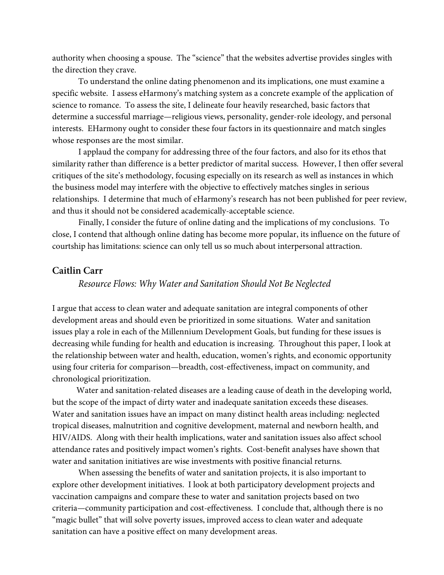authority when choosing a spouse. The "science" that the websites advertise provides singles with the direction they crave.

To understand the online dating phenomenon and its implications, one must examine a specific website. I assess eHarmony's matching system as a concrete example of the application of science to romance. To assess the site, I delineate four heavily researched, basic factors that determine a successful marriage—religious views, personality, gender-role ideology, and personal interests. EHarmony ought to consider these four factors in its questionnaire and match singles whose responses are the most similar.

I applaud the company for addressing three of the four factors, and also for its ethos that similarity rather than difference is a better predictor of marital success. However, I then offer several critiques of the site's methodology, focusing especially on its research as well as instances in which the business model may interfere with the objective to effectively matches singles in serious relationships. I determine that much of eHarmony's research has not been published for peer review, and thus it should not be considered academically-acceptable science.

Finally, I consider the future of online dating and the implications of my conclusions. To close, I contend that although online dating has become more popular, its influence on the future of courtship has limitations: science can only tell us so much about interpersonal attraction.

### **Caitlin Carr**

#### *Resource Flows: Why Water and Sanitation Should Not Be Neglected*

I argue that access to clean water and adequate sanitation are integral components of other development areas and should even be prioritized in some situations. Water and sanitation issues play a role in each of the Millennium Development Goals, but funding for these issues is decreasing while funding for health and education is increasing. Throughout this paper, I look at the relationship between water and health, education, women's rights, and economic opportunity using four criteria for comparison—breadth, cost-effectiveness, impact on community, and chronological prioritization.

Water and sanitation-related diseases are a leading cause of death in the developing world, but the scope of the impact of dirty water and inadequate sanitation exceeds these diseases. Water and sanitation issues have an impact on many distinct health areas including: neglected tropical diseases, malnutrition and cognitive development, maternal and newborn health, and HIV/AIDS. Along with their health implications, water and sanitation issues also affect school attendance rates and positively impact women's rights. Cost-benefit analyses have shown that water and sanitation initiatives are wise investments with positive financial returns.

When assessing the benefits of water and sanitation projects, it is also important to explore other development initiatives. I look at both participatory development projects and vaccination campaigns and compare these to water and sanitation projects based on two criteria—community participation and cost-effectiveness. I conclude that, although there is no "magic bullet" that will solve poverty issues, improved access to clean water and adequate sanitation can have a positive effect on many development areas.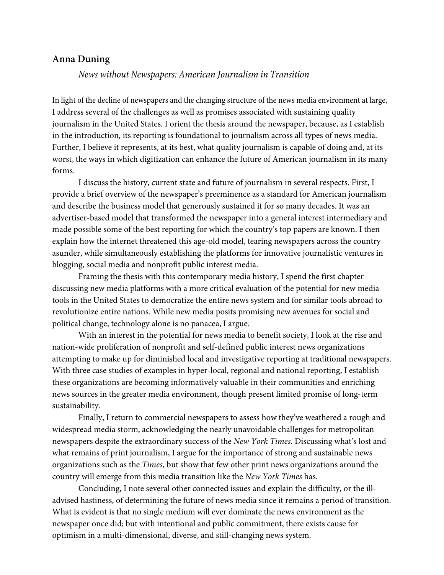### **Anna Duning**

### *News without Newspapers: American Journalism in Transition*

In light of the decline of newspapers and the changing structure of the news media environment at large, I address several of the challenges as well as promises associated with sustaining quality journalism in the United States. I orient the thesis around the newspaper, because, as I establish in the introduction, its reporting is foundational to journalism across all types of news media. Further, I believe it represents, at its best, what quality journalism is capable of doing and, at its worst, the ways in which digitization can enhance the future of American journalism in its many forms.

I discuss the history, current state and future of journalism in several respects. First, I provide a brief overview of the newspaper's preeminence as a standard for American journalism and describe the business model that generously sustained it for so many decades. It was an advertiser-based model that transformed the newspaper into a general interest intermediary and made possible some of the best reporting for which the country's top papers are known. I then explain how the internet threatened this age-old model, tearing newspapers across the country asunder, while simultaneously establishing the platforms for innovative journalistic ventures in blogging, social media and nonprofit public interest media.

Framing the thesis with this contemporary media history, I spend the first chapter discussing new media platforms with a more critical evaluation of the potential for new media tools in the United States to democratize the entire news system and for similar tools abroad to revolutionize entire nations. While new media posits promising new avenues for social and political change, technology alone is no panacea, I argue.

With an interest in the potential for news media to benefit society, I look at the rise and nation-wide proliferation of nonprofit and self-defined public interest news organizations attempting to make up for diminished local and investigative reporting at traditional newspapers. With three case studies of examples in hyper-local, regional and national reporting, I establish these organizations are becoming informatively valuable in their communities and enriching news sources in the greater media environment, though present limited promise of long-term sustainability.

Finally, I return to commercial newspapers to assess how they've weathered a rough and widespread media storm, acknowledging the nearly unavoidable challenges for metropolitan newspapers despite the extraordinary success of the *New York Times*. Discussing what's lost and what remains of print journalism, I argue for the importance of strong and sustainable news organizations such as the *Times*, but show that few other print news organizations around the country will emerge from this media transition like the *New York Times* has.

Concluding, I note several other connected issues and explain the difficulty, or the illadvised hastiness, of determining the future of news media since it remains a period of transition. What is evident is that no single medium will ever dominate the news environment as the newspaper once did; but with intentional and public commitment, there exists cause for optimism in a multi-dimensional, diverse, and still-changing news system.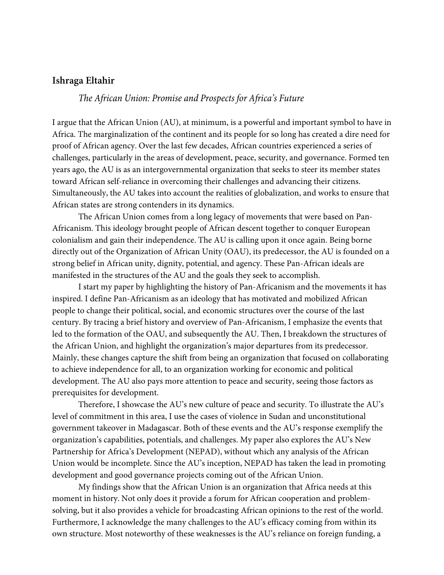### **Ishraga Eltahir**

### *The African Union: Promise and Prospects for Africa's Future*

I argue that the African Union (AU), at minimum, is a powerful and important symbol to have in Africa. The marginalization of the continent and its people for so long has created a dire need for proof of African agency. Over the last few decades, African countries experienced a series of challenges, particularly in the areas of development, peace, security, and governance. Formed ten years ago, the AU is as an intergovernmental organization that seeks to steer its member states toward African self-reliance in overcoming their challenges and advancing their citizens. Simultaneously, the AU takes into account the realities of globalization, and works to ensure that African states are strong contenders in its dynamics.

The African Union comes from a long legacy of movements that were based on Pan-Africanism. This ideology brought people of African descent together to conquer European colonialism and gain their independence. The AU is calling upon it once again. Being borne directly out of the Organization of African Unity (OAU), its predecessor, the AU is founded on a strong belief in African unity, dignity, potential, and agency. These Pan-African ideals are manifested in the structures of the AU and the goals they seek to accomplish.

I start my paper by highlighting the history of Pan-Africanism and the movements it has inspired. I define Pan-Africanism as an ideology that has motivated and mobilized African people to change their political, social, and economic structures over the course of the last century. By tracing a brief history and overview of Pan-Africanism, I emphasize the events that led to the formation of the OAU, and subsequently the AU. Then, I breakdown the structures of the African Union, and highlight the organization's major departures from its predecessor. Mainly, these changes capture the shift from being an organization that focused on collaborating to achieve independence for all, to an organization working for economic and political development. The AU also pays more attention to peace and security, seeing those factors as prerequisites for development.

Therefore, I showcase the AU's new culture of peace and security. To illustrate the AU's level of commitment in this area, I use the cases of violence in Sudan and unconstitutional government takeover in Madagascar. Both of these events and the AU's response exemplify the organization's capabilities, potentials, and challenges. My paper also explores the AU's New Partnership for Africa's Development (NEPAD), without which any analysis of the African Union would be incomplete. Since the AU's inception, NEPAD has taken the lead in promoting development and good governance projects coming out of the African Union.

My findings show that the African Union is an organization that Africa needs at this moment in history. Not only does it provide a forum for African cooperation and problemsolving, but it also provides a vehicle for broadcasting African opinions to the rest of the world. Furthermore, I acknowledge the many challenges to the AU's efficacy coming from within its own structure. Most noteworthy of these weaknesses is the AU's reliance on foreign funding, a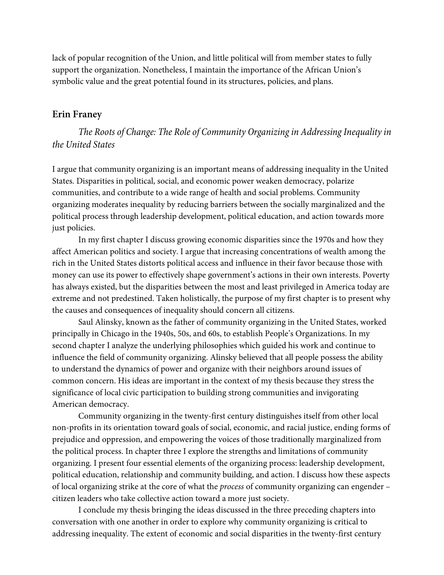lack of popular recognition of the Union, and little political will from member states to fully support the organization. Nonetheless, I maintain the importance of the African Union's symbolic value and the great potential found in its structures, policies, and plans.

### **Erin Franey**

*The Roots of Change: The Role of Community Organizing in Addressing Inequality in the United States*

I argue that community organizing is an important means of addressing inequality in the United States. Disparities in political, social, and economic power weaken democracy, polarize communities, and contribute to a wide range of health and social problems. Community organizing moderates inequality by reducing barriers between the socially marginalized and the political process through leadership development, political education, and action towards more just policies.

In my first chapter I discuss growing economic disparities since the 1970s and how they affect American politics and society. I argue that increasing concentrations of wealth among the rich in the United States distorts political access and influence in their favor because those with money can use its power to effectively shape government's actions in their own interests. Poverty has always existed, but the disparities between the most and least privileged in America today are extreme and not predestined. Taken holistically, the purpose of my first chapter is to present why the causes and consequences of inequality should concern all citizens.

Saul Alinsky, known as the father of community organizing in the United States, worked principally in Chicago in the 1940s, 50s, and 60s, to establish People's Organizations. In my second chapter I analyze the underlying philosophies which guided his work and continue to influence the field of community organizing. Alinsky believed that all people possess the ability to understand the dynamics of power and organize with their neighbors around issues of common concern. His ideas are important in the context of my thesis because they stress the significance of local civic participation to building strong communities and invigorating American democracy.

Community organizing in the twenty-first century distinguishes itself from other local non-profits in its orientation toward goals of social, economic, and racial justice, ending forms of prejudice and oppression, and empowering the voices of those traditionally marginalized from the political process. In chapter three I explore the strengths and limitations of community organizing. I present four essential elements of the organizing process: leadership development, political education, relationship and community building, and action. I discuss how these aspects of local organizing strike at the core of what the *process* of community organizing can engender – citizen leaders who take collective action toward a more just society.

I conclude my thesis bringing the ideas discussed in the three preceding chapters into conversation with one another in order to explore why community organizing is critical to addressing inequality. The extent of economic and social disparities in the twenty-first century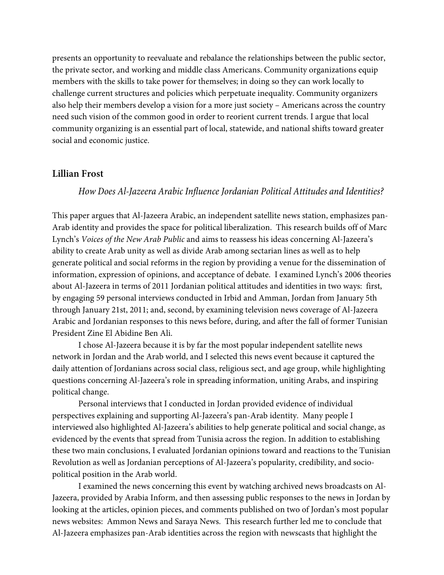presents an opportunity to reevaluate and rebalance the relationships between the public sector, the private sector, and working and middle class Americans. Community organizations equip members with the skills to take power for themselves; in doing so they can work locally to challenge current structures and policies which perpetuate inequality. Community organizers also help their members develop a vision for a more just society – Americans across the country need such vision of the common good in order to reorient current trends. I argue that local community organizing is an essential part of local, statewide, and national shifts toward greater social and economic justice.

#### **Lillian Frost**

### *How Does Al-Jazeera Arabic Influence Jordanian Political Attitudes and Identities?*

This paper argues that Al-Jazeera Arabic, an independent satellite news station, emphasizes pan-Arab identity and provides the space for political liberalization. This research builds off of Marc Lynch's *Voices of the New Arab Public* and aims to reassess his ideas concerning Al-Jazeera's ability to create Arab unity as well as divide Arab among sectarian lines as well as to help generate political and social reforms in the region by providing a venue for the dissemination of information, expression of opinions, and acceptance of debate. I examined Lynch's 2006 theories about Al-Jazeera in terms of 2011 Jordanian political attitudes and identities in two ways: first, by engaging 59 personal interviews conducted in Irbid and Amman, Jordan from January 5th through January 21st, 2011; and, second, by examining television news coverage of Al-Jazeera Arabic and Jordanian responses to this news before, during, and after the fall of former Tunisian President Zine El Abidine Ben Ali.

I chose Al-Jazeera because it is by far the most popular independent satellite news network in Jordan and the Arab world, and I selected this news event because it captured the daily attention of Jordanians across social class, religious sect, and age group, while highlighting questions concerning Al-Jazeera's role in spreading information, uniting Arabs, and inspiring political change.

Personal interviews that I conducted in Jordan provided evidence of individual perspectives explaining and supporting Al-Jazeera's pan-Arab identity. Many people I interviewed also highlighted Al-Jazeera's abilities to help generate political and social change, as evidenced by the events that spread from Tunisia across the region. In addition to establishing these two main conclusions, I evaluated Jordanian opinions toward and reactions to the Tunisian Revolution as well as Jordanian perceptions of Al-Jazeera's popularity, credibility, and sociopolitical position in the Arab world.

I examined the news concerning this event by watching archived news broadcasts on Al-Jazeera, provided by Arabia Inform, and then assessing public responses to the news in Jordan by looking at the articles, opinion pieces, and comments published on two of Jordan's most popular news websites: Ammon News and Saraya News. This research further led me to conclude that Al-Jazeera emphasizes pan-Arab identities across the region with newscasts that highlight the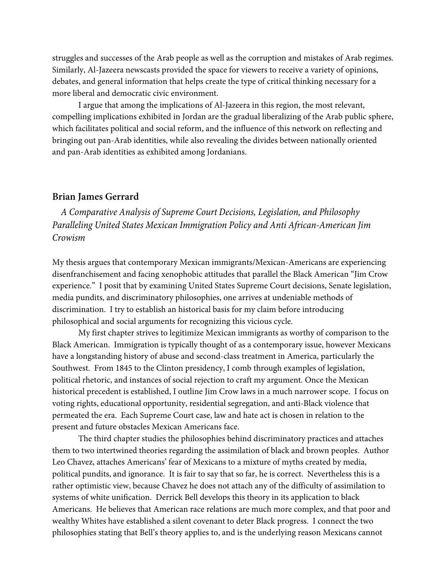struggles and successes of the Arab people as well as the corruption and mistakes of Arab regimes. Similarly, Al-Jazeera newscasts provided the space for viewers to receive a variety of opinions, debates, and general information that helps create the type of critical thinking necessary for a more liberal and democratic civic environment.

I argue that among the implications of Al-Jazeera in this region, the most relevant, compelling implications exhibited in Jordan are the gradual liberalizing of the Arab public sphere, which facilitates political and social reform, and the influence of this network on reflecting and bringing out pan-Arab identities, while also revealing the divides between nationally oriented and pan-Arab identities as exhibited among Jordanians.

### **Brian James Gerrard**

*A Comparative Analysis of Supreme Court Decisions, Legislation, and Philosophy Paralleling United States Mexican Immigration Policy and Anti African-American Jim Crowism*

My thesis argues that contemporary Mexican immigrants/Mexican-Americans are experiencing disenfranchisement and facing xenophobic attitudes that parallel the Black American "Jim Crow experience." I posit that by examining United States Supreme Court decisions, Senate legislation, media pundits, and discriminatory philosophies, one arrives at undeniable methods of discrimination. I try to establish an historical basis for my claim before introducing philosophical and social arguments for recognizing this vicious cycle.

My first chapter strives to legitimize Mexican immigrants as worthy of comparison to the Black American. Immigration is typically thought of as a contemporary issue, however Mexicans have a longstanding history of abuse and second-class treatment in America, particularly the Southwest. From 1845 to the Clinton presidency, I comb through examples of legislation, political rhetoric, and instances of social rejection to craft my argument. Once the Mexican historical precedent is established, I outline Jim Crow laws in a much narrower scope. I focus on voting rights, educational opportunity, residential segregation, and anti-Black violence that permeated the era. Each Supreme Court case, law and hate act is chosen in relation to the present and future obstacles Mexican Americans face.

The third chapter studies the philosophies behind discriminatory practices and attaches them to two intertwined theories regarding the assimilation of black and brown peoples. Author Leo Chavez, attaches Americans' fear of Mexicans to a mixture of myths created by media, political pundits, and ignorance. It is fair to say that so far, he is correct. Nevertheless this is a rather optimistic view, because Chavez he does not attach any of the difficulty of assimilation to systems of white unification. Derrick Bell develops this theory in its application to black Americans. He believes that American race relations are much more complex, and that poor and wealthy Whites have established a silent covenant to deter Black progress. I connect the two philosophies stating that Bell's theory applies to, and is the underlying reason Mexicans cannot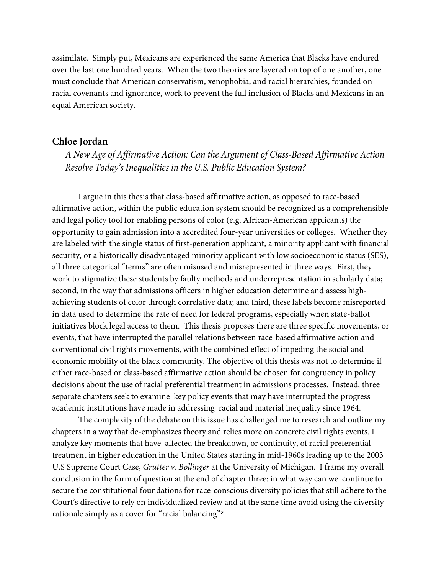assimilate. Simply put, Mexicans are experienced the same America that Blacks have endured over the last one hundred years. When the two theories are layered on top of one another, one must conclude that American conservatism, xenophobia, and racial hierarchies, founded on racial covenants and ignorance, work to prevent the full inclusion of Blacks and Mexicans in an equal American society.

#### **Chloe Jordan**

*A New Age of Affirmative Action: Can the Argument of Class-Based Affirmative Action Resolve Today's Inequalities in the U.S. Public Education System?* 

I argue in this thesis that class-based affirmative action, as opposed to race-based affirmative action, within the public education system should be recognized as a comprehensible and legal policy tool for enabling persons of color (e.g. African-American applicants) the opportunity to gain admission into a accredited four-year universities or colleges. Whether they are labeled with the single status of first-generation applicant, a minority applicant with financial security, or a historically disadvantaged minority applicant with low socioeconomic status (SES), all three categorical "terms" are often misused and misrepresented in three ways. First, they work to stigmatize these students by faulty methods and underrepresentation in scholarly data; second, in the way that admissions officers in higher education determine and assess highachieving students of color through correlative data; and third, these labels become misreported in data used to determine the rate of need for federal programs, especially when state-ballot initiatives block legal access to them. This thesis proposes there are three specific movements, or events, that have interrupted the parallel relations between race-based affirmative action and conventional civil rights movements, with the combined effect of impeding the social and economic mobility of the black community. The objective of this thesis was not to determine if either race-based or class-based affirmative action should be chosen for congruency in policy decisions about the use of racial preferential treatment in admissions processes. Instead, three separate chapters seek to examine key policy events that may have interrupted the progress academic institutions have made in addressing racial and material inequality since 1964.

The complexity of the debate on this issue has challenged me to research and outline my chapters in a way that de-emphasizes theory and relies more on concrete civil rights events. I analyze key moments that have affected the breakdown, or continuity, of racial preferential treatment in higher education in the United States starting in mid-1960s leading up to the 2003 U.S Supreme Court Case, *Grutter v. Bollinger* at the University of Michigan. I frame my overall conclusion in the form of question at the end of chapter three: in what way can we continue to secure the constitutional foundations for race-conscious diversity policies that still adhere to the Court's directive to rely on individualized review and at the same time avoid using the diversity rationale simply as a cover for "racial balancing"?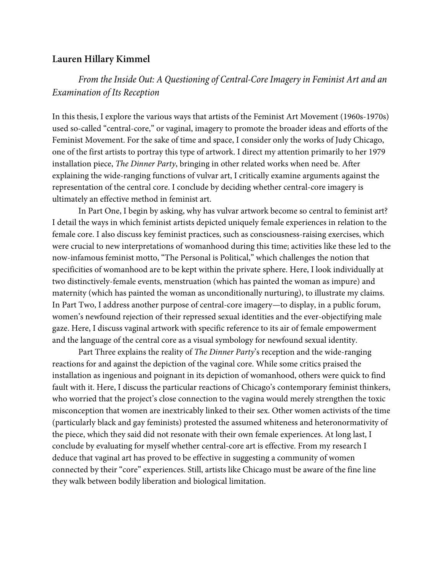### **Lauren Hillary Kimmel**

## *From the Inside Out: A Questioning of Central-Core Imagery in Feminist Art and an Examination of Its Reception*

In this thesis, I explore the various ways that artists of the Feminist Art Movement (1960s-1970s) used so-called "central-core," or vaginal, imagery to promote the broader ideas and efforts of the Feminist Movement. For the sake of time and space, I consider only the works of Judy Chicago, one of the first artists to portray this type of artwork. I direct my attention primarily to her 1979 installation piece, *The Dinner Party*, bringing in other related works when need be. After explaining the wide-ranging functions of vulvar art, I critically examine arguments against the representation of the central core. I conclude by deciding whether central-core imagery is ultimately an effective method in feminist art.

In Part One, I begin by asking, why has vulvar artwork become so central to feminist art? I detail the ways in which feminist artists depicted uniquely female experiences in relation to the female core. I also discuss key feminist practices, such as consciousness-raising exercises, which were crucial to new interpretations of womanhood during this time; activities like these led to the now-infamous feminist motto, "The Personal is Political," which challenges the notion that specificities of womanhood are to be kept within the private sphere. Here, I look individually at two distinctively-female events, menstruation (which has painted the woman as impure) and maternity (which has painted the woman as unconditionally nurturing), to illustrate my claims. In Part Two, I address another purpose of central-core imagery—to display, in a public forum, women's newfound rejection of their repressed sexual identities and the ever-objectifying male gaze. Here, I discuss vaginal artwork with specific reference to its air of female empowerment and the language of the central core as a visual symbology for newfound sexual identity.

Part Three explains the reality of *The Dinner Party*'s reception and the wide-ranging reactions for and against the depiction of the vaginal core. While some critics praised the installation as ingenious and poignant in its depiction of womanhood, others were quick to find fault with it. Here, I discuss the particular reactions of Chicago's contemporary feminist thinkers, who worried that the project's close connection to the vagina would merely strengthen the toxic misconception that women are inextricably linked to their sex. Other women activists of the time (particularly black and gay feminists) protested the assumed whiteness and heteronormativity of the piece, which they said did not resonate with their own female experiences. At long last, I conclude by evaluating for myself whether central-core art is effective. From my research I deduce that vaginal art has proved to be effective in suggesting a community of women connected by their "core" experiences. Still, artists like Chicago must be aware of the fine line they walk between bodily liberation and biological limitation.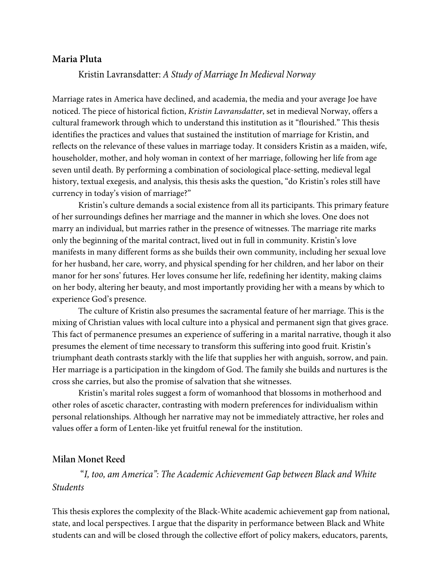### **Maria Pluta**

Kristin Lavransdatter: *A Study of Marriage In Medieval Norway*

Marriage rates in America have declined, and academia, the media and your average Joe have noticed. The piece of historical fiction, *Kristin Lavransdatter*, set in medieval Norway, offers a cultural framework through which to understand this institution as it "flourished." This thesis identifies the practices and values that sustained the institution of marriage for Kristin, and reflects on the relevance of these values in marriage today. It considers Kristin as a maiden, wife, householder, mother, and holy woman in context of her marriage, following her life from age seven until death. By performing a combination of sociological place-setting, medieval legal history, textual exegesis, and analysis, this thesis asks the question, "do Kristin's roles still have currency in today's vision of marriage?"

Kristin's culture demands a social existence from all its participants. This primary feature of her surroundings defines her marriage and the manner in which she loves. One does not marry an individual, but marries rather in the presence of witnesses. The marriage rite marks only the beginning of the marital contract, lived out in full in community. Kristin's love manifests in many different forms as she builds their own community, including her sexual love for her husband, her care, worry, and physical spending for her children, and her labor on their manor for her sons' futures. Her loves consume her life, redefining her identity, making claims on her body, altering her beauty, and most importantly providing her with a means by which to experience God's presence.

The culture of Kristin also presumes the sacramental feature of her marriage. This is the mixing of Christian values with local culture into a physical and permanent sign that gives grace. This fact of permanence presumes an experience of suffering in a marital narrative, though it also presumes the element of time necessary to transform this suffering into good fruit. Kristin's triumphant death contrasts starkly with the life that supplies her with anguish, sorrow, and pain. Her marriage is a participation in the kingdom of God. The family she builds and nurtures is the cross she carries, but also the promise of salvation that she witnesses.

Kristin's marital roles suggest a form of womanhood that blossoms in motherhood and other roles of ascetic character, contrasting with modern preferences for individualism within personal relationships. Although her narrative may not be immediately attractive, her roles and values offer a form of Lenten-like yet fruitful renewal for the institution.

### **Milan Monet Reed**

"*I, too, am America": The Academic Achievement Gap between Black and White Students*

This thesis explores the complexity of the Black-White academic achievement gap from national, state, and local perspectives. I argue that the disparity in performance between Black and White students can and will be closed through the collective effort of policy makers, educators, parents,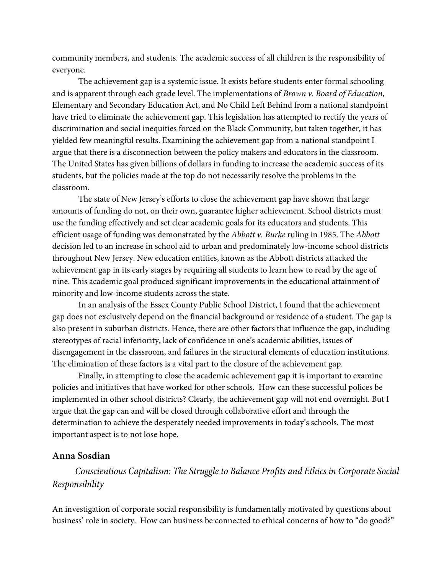community members, and students. The academic success of all children is the responsibility of everyone.

The achievement gap is a systemic issue. It exists before students enter formal schooling and is apparent through each grade level. The implementations of *Brown v. Board of Education*, Elementary and Secondary Education Act, and No Child Left Behind from a national standpoint have tried to eliminate the achievement gap. This legislation has attempted to rectify the years of discrimination and social inequities forced on the Black Community, but taken together, it has yielded few meaningful results. Examining the achievement gap from a national standpoint I argue that there is a disconnection between the policy makers and educators in the classroom. The United States has given billions of dollars in funding to increase the academic success of its students, but the policies made at the top do not necessarily resolve the problems in the classroom.

The state of New Jersey's efforts to close the achievement gap have shown that large amounts of funding do not, on their own, guarantee higher achievement. School districts must use the funding effectively and set clear academic goals for its educators and students. This efficient usage of funding was demonstrated by the *Abbott v. Burke* ruling in 1985. The *Abbott*  decision led to an increase in school aid to urban and predominately low-income school districts throughout New Jersey. New education entities, known as the Abbott districts attacked the achievement gap in its early stages by requiring all students to learn how to read by the age of nine. This academic goal produced significant improvements in the educational attainment of minority and low-income students across the state.

In an analysis of the Essex County Public School District, I found that the achievement gap does not exclusively depend on the financial background or residence of a student. The gap is also present in suburban districts. Hence, there are other factors that influence the gap, including stereotypes of racial inferiority, lack of confidence in one's academic abilities, issues of disengagement in the classroom, and failures in the structural elements of education institutions. The elimination of these factors is a vital part to the closure of the achievement gap.

Finally, in attempting to close the academic achievement gap it is important to examine policies and initiatives that have worked for other schools. How can these successful polices be implemented in other school districts? Clearly, the achievement gap will not end overnight. But I argue that the gap can and will be closed through collaborative effort and through the determination to achieve the desperately needed improvements in today's schools. The most important aspect is to not lose hope.

### **Anna Sosdian**

*Conscientious Capitalism: The Struggle to Balance Profits and Ethics in Corporate Social Responsibility*

An investigation of corporate social responsibility is fundamentally motivated by questions about business' role in society. How can business be connected to ethical concerns of how to "do good?"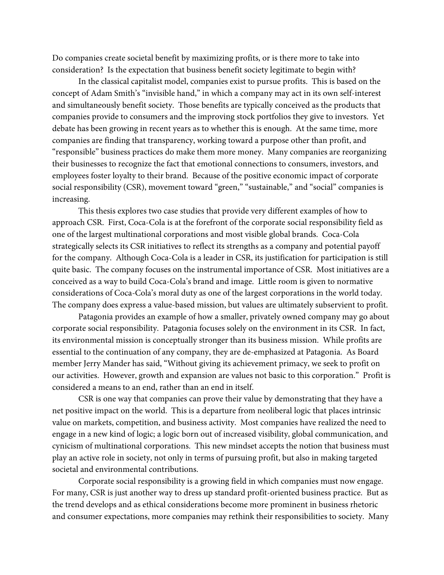Do companies create societal benefit by maximizing profits, or is there more to take into consideration? Is the expectation that business benefit society legitimate to begin with?

In the classical capitalist model, companies exist to pursue profits. This is based on the concept of Adam Smith's "invisible hand," in which a company may act in its own self-interest and simultaneously benefit society. Those benefits are typically conceived as the products that companies provide to consumers and the improving stock portfolios they give to investors. Yet debate has been growing in recent years as to whether this is enough. At the same time, more companies are finding that transparency, working toward a purpose other than profit, and "responsible" business practices do make them more money. Many companies are reorganizing their businesses to recognize the fact that emotional connections to consumers, investors, and employees foster loyalty to their brand. Because of the positive economic impact of corporate social responsibility (CSR), movement toward "green," "sustainable," and "social" companies is increasing.

This thesis explores two case studies that provide very different examples of how to approach CSR. First, Coca-Cola is at the forefront of the corporate social responsibility field as one of the largest multinational corporations and most visible global brands. Coca-Cola strategically selects its CSR initiatives to reflect its strengths as a company and potential payoff for the company. Although Coca-Cola is a leader in CSR, its justification for participation is still quite basic. The company focuses on the instrumental importance of CSR. Most initiatives are a conceived as a way to build Coca-Cola's brand and image. Little room is given to normative considerations of Coca-Cola's moral duty as one of the largest corporations in the world today. The company does express a value-based mission, but values are ultimately subservient to profit.

Patagonia provides an example of how a smaller, privately owned company may go about corporate social responsibility. Patagonia focuses solely on the environment in its CSR. In fact, its environmental mission is conceptually stronger than its business mission. While profits are essential to the continuation of any company, they are de-emphasized at Patagonia. As Board member Jerry Mander has said, "Without giving its achievement primacy, we seek to profit on our activities. However, growth and expansion are values not basic to this corporation." Profit is considered a means to an end, rather than an end in itself.

CSR is one way that companies can prove their value by demonstrating that they have a net positive impact on the world. This is a departure from neoliberal logic that places intrinsic value on markets, competition, and business activity. Most companies have realized the need to engage in a new kind of logic; a logic born out of increased visibility, global communication, and cynicism of multinational corporations. This new mindset accepts the notion that business must play an active role in society, not only in terms of pursuing profit, but also in making targeted societal and environmental contributions.

Corporate social responsibility is a growing field in which companies must now engage. For many, CSR is just another way to dress up standard profit-oriented business practice. But as the trend develops and as ethical considerations become more prominent in business rhetoric and consumer expectations, more companies may rethink their responsibilities to society. Many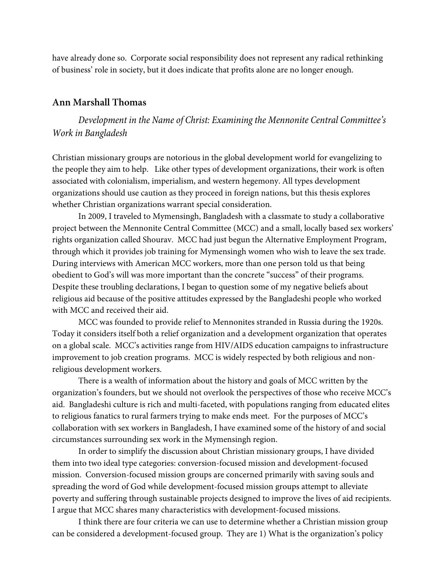have already done so. Corporate social responsibility does not represent any radical rethinking of business' role in society, but it does indicate that profits alone are no longer enough.

### **Ann Marshall Thomas**

*Development in the Name of Christ: Examining the Mennonite Central Committee's Work in Bangladesh* 

Christian missionary groups are notorious in the global development world for evangelizing to the people they aim to help. Like other types of development organizations, their work is often associated with colonialism, imperialism, and western hegemony. All types development organizations should use caution as they proceed in foreign nations, but this thesis explores whether Christian organizations warrant special consideration.

In 2009, I traveled to Mymensingh, Bangladesh with a classmate to study a collaborative project between the Mennonite Central Committee (MCC) and a small, locally based sex workers' rights organization called Shourav. MCC had just begun the Alternative Employment Program, through which it provides job training for Mymensingh women who wish to leave the sex trade. During interviews with American MCC workers, more than one person told us that being obedient to God's will was more important than the concrete "success" of their programs. Despite these troubling declarations, I began to question some of my negative beliefs about religious aid because of the positive attitudes expressed by the Bangladeshi people who worked with MCC and received their aid.

MCC was founded to provide relief to Mennonites stranded in Russia during the 1920s. Today it considers itself both a relief organization and a development organization that operates on a global scale. MCC's activities range from HIV/AIDS education campaigns to infrastructure improvement to job creation programs. MCC is widely respected by both religious and nonreligious development workers.

There is a wealth of information about the history and goals of MCC written by the organization's founders, but we should not overlook the perspectives of those who receive MCC's aid. Bangladeshi culture is rich and multi-faceted, with populations ranging from educated elites to religious fanatics to rural farmers trying to make ends meet. For the purposes of MCC's collaboration with sex workers in Bangladesh, I have examined some of the history of and social circumstances surrounding sex work in the Mymensingh region.

In order to simplify the discussion about Christian missionary groups, I have divided them into two ideal type categories: conversion-focused mission and development-focused mission. Conversion-focused mission groups are concerned primarily with saving souls and spreading the word of God while development-focused mission groups attempt to alleviate poverty and suffering through sustainable projects designed to improve the lives of aid recipients. I argue that MCC shares many characteristics with development-focused missions.

I think there are four criteria we can use to determine whether a Christian mission group can be considered a development-focused group. They are 1) What is the organization's policy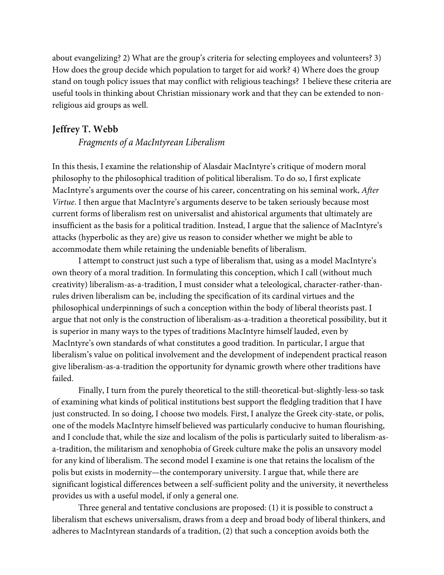about evangelizing? 2) What are the group's criteria for selecting employees and volunteers? 3) How does the group decide which population to target for aid work? 4) Where does the group stand on tough policy issues that may conflict with religious teachings? I believe these criteria are useful tools in thinking about Christian missionary work and that they can be extended to nonreligious aid groups as well.

### **Jeffrey T. Webb**

*Fragments of a MacIntyrean Liberalism*

In this thesis, I examine the relationship of Alasdair MacIntyre's critique of modern moral philosophy to the philosophical tradition of political liberalism. To do so, I first explicate MacIntyre's arguments over the course of his career, concentrating on his seminal work, *After Virtue*. I then argue that MacIntyre's arguments deserve to be taken seriously because most current forms of liberalism rest on universalist and ahistorical arguments that ultimately are insufficient as the basis for a political tradition. Instead, I argue that the salience of MacIntyre's attacks (hyperbolic as they are) give us reason to consider whether we might be able to accommodate them while retaining the undeniable benefits of liberalism.

I attempt to construct just such a type of liberalism that, using as a model MacIntyre's own theory of a moral tradition. In formulating this conception, which I call (without much creativity) liberalism-as-a-tradition, I must consider what a teleological, character-rather-thanrules driven liberalism can be, including the specification of its cardinal virtues and the philosophical underpinnings of such a conception within the body of liberal theorists past. I argue that not only is the construction of liberalism-as-a-tradition a theoretical possibility, but it is superior in many ways to the types of traditions MacIntyre himself lauded, even by MacIntyre's own standards of what constitutes a good tradition. In particular, I argue that liberalism's value on political involvement and the development of independent practical reason give liberalism-as-a-tradition the opportunity for dynamic growth where other traditions have failed.

Finally, I turn from the purely theoretical to the still-theoretical-but-slightly-less-so task of examining what kinds of political institutions best support the fledgling tradition that I have just constructed. In so doing, I choose two models. First, I analyze the Greek city-state, or polis, one of the models MacIntyre himself believed was particularly conducive to human flourishing, and I conclude that, while the size and localism of the polis is particularly suited to liberalism-asa-tradition, the militarism and xenophobia of Greek culture make the polis an unsavory model for any kind of liberalism. The second model I examine is one that retains the localism of the polis but exists in modernity—the contemporary university. I argue that, while there are significant logistical differences between a self-sufficient polity and the university, it nevertheless provides us with a useful model, if only a general one.

Three general and tentative conclusions are proposed: (1) it is possible to construct a liberalism that eschews universalism, draws from a deep and broad body of liberal thinkers, and adheres to MacIntyrean standards of a tradition, (2) that such a conception avoids both the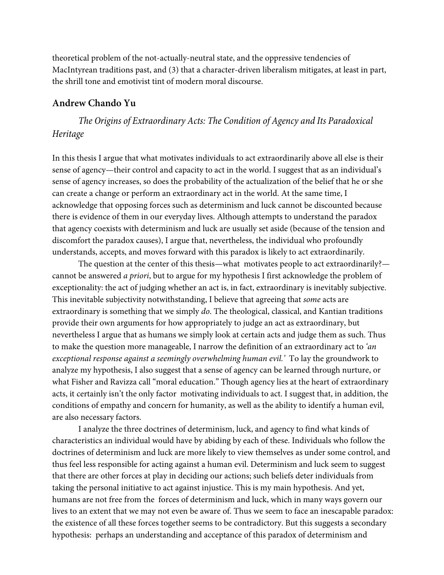theoretical problem of the not-actually-neutral state, and the oppressive tendencies of MacIntyrean traditions past, and (3) that a character-driven liberalism mitigates, at least in part, the shrill tone and emotivist tint of modern moral discourse.

### **Andrew Chando Yu**

*The Origins of Extraordinary Acts: The Condition of Agency and Its Paradoxical Heritage*

In this thesis I argue that what motivates individuals to act extraordinarily above all else is their sense of agency—their control and capacity to act in the world. I suggest that as an individual's sense of agency increases, so does the probability of the actualization of the belief that he or she can create a change or perform an extraordinary act in the world. At the same time, I acknowledge that opposing forces such as determinism and luck cannot be discounted because there is evidence of them in our everyday lives. Although attempts to understand the paradox that agency coexists with determinism and luck are usually set aside (because of the tension and discomfort the paradox causes), I argue that, nevertheless, the individual who profoundly understands, accepts, and moves forward with this paradox is likely to act extraordinarily.

The question at the center of this thesis—what motivates people to act extraordinarily? cannot be answered *a priori*, but to argue for my hypothesis I first acknowledge the problem of exceptionality: the act of judging whether an act is, in fact, extraordinary is inevitably subjective. This inevitable subjectivity notwithstanding, I believe that agreeing that *some* acts are extraordinary is something that we simply *do*. The theological, classical, and Kantian traditions provide their own arguments for how appropriately to judge an act as extraordinary, but nevertheless I argue that as humans we simply look at certain acts and judge them as such. Thus to make the question more manageable, I narrow the definition of an extraordinary act to *'an exceptional response against a seemingly overwhelming human evil.'* To lay the groundwork to analyze my hypothesis, I also suggest that a sense of agency can be learned through nurture, or what Fisher and Ravizza call "moral education." Though agency lies at the heart of extraordinary acts, it certainly isn't the only factor motivating individuals to act. I suggest that, in addition, the conditions of empathy and concern for humanity, as well as the ability to identify a human evil, are also necessary factors.

I analyze the three doctrines of determinism, luck, and agency to find what kinds of characteristics an individual would have by abiding by each of these. Individuals who follow the doctrines of determinism and luck are more likely to view themselves as under some control, and thus feel less responsible for acting against a human evil. Determinism and luck seem to suggest that there are other forces at play in deciding our actions; such beliefs deter individuals from taking the personal initiative to act against injustice. This is my main hypothesis. And yet, humans are not free from the forces of determinism and luck, which in many ways govern our lives to an extent that we may not even be aware of. Thus we seem to face an inescapable paradox: the existence of all these forces together seems to be contradictory. But this suggests a secondary hypothesis: perhaps an understanding and acceptance of this paradox of determinism and